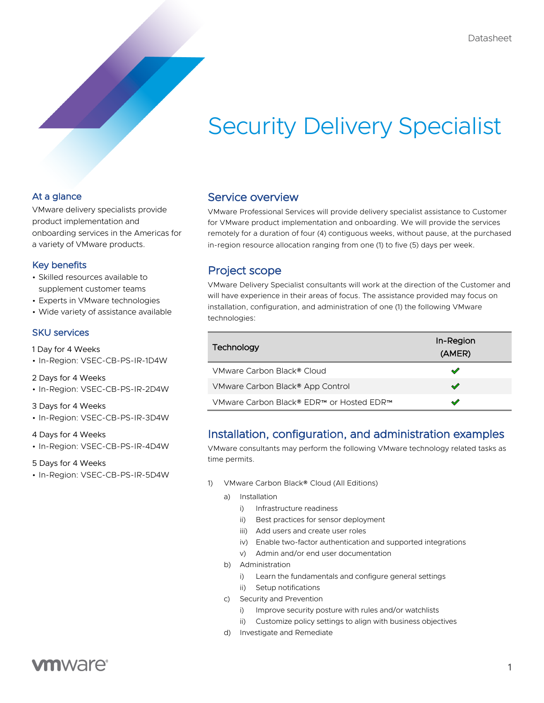# Security Delivery Specialist

### At a glance

VMware delivery specialists provide product implementation and onboarding services in the Americas for a variety of VMware products.

### Key benefits

- Skilled resources available to supplement customer teams
- Experts in VMware technologies
- Wide variety of assistance available

### SKU services

- 1 Day for 4 Weeks
- In-Region: VSEC-CB-PS-IR-1D4W
- 2 Days for 4 Weeks
- In-Region: VSEC-CB-PS-IR-2D4W

#### 3 Days for 4 Weeks

• In-Region: VSEC-CB-PS-IR-3D4W

#### 4 Days for 4 Weeks

• In-Region: VSEC-CB-PS-IR-4D4W

#### 5 Days for 4 Weeks

• In-Region: VSEC-CB-PS-IR-5D4W

### Service overview

VMware Professional Services will provide delivery specialist assistance to Customer for VMware product implementation and onboarding. We will provide the services remotely for a duration of four (4) contiguous weeks, without pause, at the purchased in-region resource allocation ranging from one (1) to five (5) days per week.

## Project scope

VMware Delivery Specialist consultants will work at the direction of the Customer and will have experience in their areas of focus. The assistance provided may focus on installation, configuration, and administration of one (1) the following VMware technologies:

| Technology                               | In-Region<br>(AMER) |  |  |
|------------------------------------------|---------------------|--|--|
| VMware Carbon Black® Cloud               | ⇙                   |  |  |
| VMware Carbon Black® App Control         | $\sqrt{}$           |  |  |
| VMware Carbon Black® EDR™ or Hosted EDR™ | ↝                   |  |  |

# Installation, configuration, and administration examples

VMware consultants may perform the following VMware technology related tasks as time permits.

- 1) VMware Carbon Black® Cloud (All Editions)
	- a) Installation
		- i) Infrastructure readiness
		- ii) Best practices for sensor deployment
		- iii) Add users and create user roles
		- iv) Enable two-factor authentication and supported integrations
		- v) Admin and/or end user documentation
	- b) Administration
		- i) Learn the fundamentals and configure general settings
		- ii) Setup notifications
	- c) Security and Prevention
		- i) Improve security posture with rules and/or watchlists
		- ii) Customize policy settings to align with business objectives
	- d) Investigate and Remediate

# **vm**ware<sup>®</sup>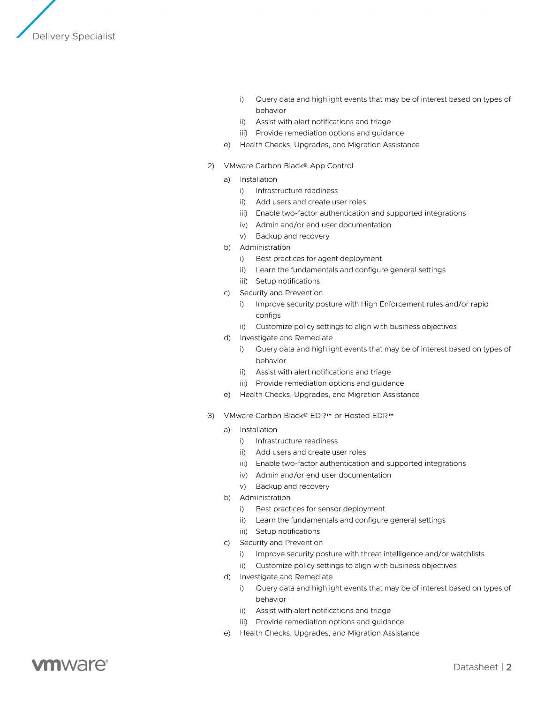

- i) Guery data and highlight events that may be of interest based on types of behavior
- ii) Assist with alert notifications and triage
- iii) Provide remediation options and guidance
- e) Health Checks, Upgrades, and Migration Assistance
- 2) VMware Carbon Black® App Control
	- a) Installation
		- i) Infrastructure readiness
		- ii) Add users and create user roles
		- iii) Enable two-factor authentication and supported integrations
		- iv) Admin and/or end user documentation
		- v) Backup and recovery
	- b) Administration
		- i) Best practices for agent deployment
		- ii) Learn the fundamentals and configure general settings
		- iii) Setup notifications
	- c) Security and Prevention
		- i) Improve security posture with High Enforcement rules and/or rapid configs
		- ii) Customize policy settings to align with business objectives
	- d) Investigate and Remediate
		- i) Query data and highlight events that may be of interest based on types of behavior
		- ii) Assist with alert notifications and triage
		- iii) Provide remediation options and guidance
	- e) Health Checks, Upgrades, and Migration Assistance
- 3) VMware Carbon Black® EDR™ or Hosted EDR™
	- a) Installation
		- i) Infrastructure readiness
		- ii) Add users and create user roles
		- iii) Enable two-factor authentication and supported integrations
		- iv) Admin and/or end user documentation
		- v) Backup and recovery
	- b) Administration
		- i) Best practices for sensor deployment
		- ii) Learn the fundamentals and configure general settings
		- iii) Setup notifications
	- c) Security and Prevention
		- i) Improve security posture with threat intelligence and/or watchlists
		- ii) Customize policy settings to align with business objectives
	- d) Investigate and Remediate
		- i) Query data and highlight events that may be of interest based on types of behavior
		- ii) Assist with alert notifications and triage
		- iii) Provide remediation options and guidance
	- e) Health Checks, Upgrades, and Migration Assistance

# **ym**ware<sup>®</sup>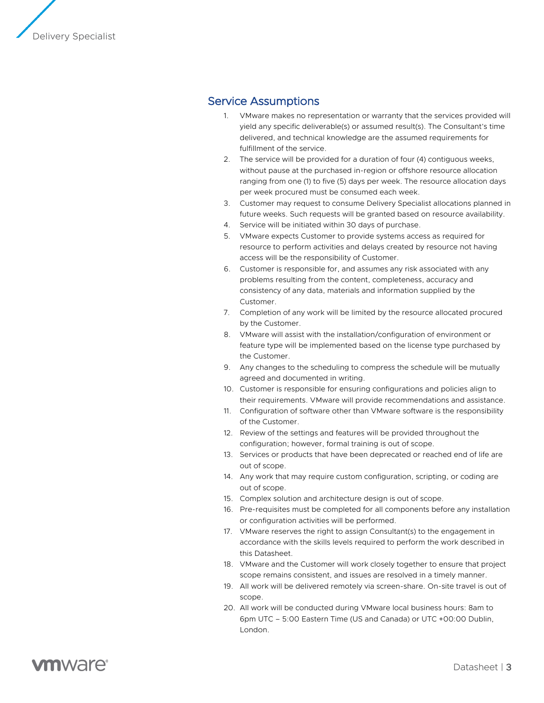

# Service Assumptions

- 1. VMware makes no representation or warranty that the services provided will yield any specific deliverable(s) or assumed result(s). The Consultant's time delivered, and technical knowledge are the assumed requirements for fulfillment of the service.
- 2. The service will be provided for a duration of four (4) contiguous weeks, without pause at the purchased in-region or offshore resource allocation ranging from one (1) to five (5) days per week. The resource allocation days per week procured must be consumed each week.
- 3. Customer may request to consume Delivery Specialist allocations planned in future weeks. Such requests will be granted based on resource availability.
- 4. Service will be initiated within 30 days of purchase.
- 5. VMware expects Customer to provide systems access as required for resource to perform activities and delays created by resource not having access will be the responsibility of Customer.
- 6. Customer is responsible for, and assumes any risk associated with any problems resulting from the content, completeness, accuracy and consistency of any data, materials and information supplied by the Customer.
- 7. Completion of any work will be limited by the resource allocated procured by the Customer.
- 8. VMware will assist with the installation/configuration of environment or feature type will be implemented based on the license type purchased by the Customer.
- 9. Any changes to the scheduling to compress the schedule will be mutually agreed and documented in writing.
- 10. Customer is responsible for ensuring configurations and policies align to their requirements. VMware will provide recommendations and assistance.
- 11. Configuration of software other than VMware software is the responsibility of the Customer.
- 12. Review of the settings and features will be provided throughout the configuration; however, formal training is out of scope.
- 13. Services or products that have been deprecated or reached end of life are out of scope.
- 14. Any work that may require custom configuration, scripting, or coding are out of scope.
- 15. Complex solution and architecture design is out of scope.
- 16. Pre-requisites must be completed for all components before any installation or configuration activities will be performed.
- 17. VMware reserves the right to assign Consultant(s) to the engagement in accordance with the skills levels required to perform the work described in this Datasheet.
- 18. VMware and the Customer will work closely together to ensure that project scope remains consistent, and issues are resolved in a timely manner.
- 19. All work will be delivered remotely via screen-share. On-site travel is out of scope.
- 20. All work will be conducted during VMware local business hours: 8am to 6pm UTC – 5:00 Eastern Time (US and Canada) or UTC +00:00 Dublin, London.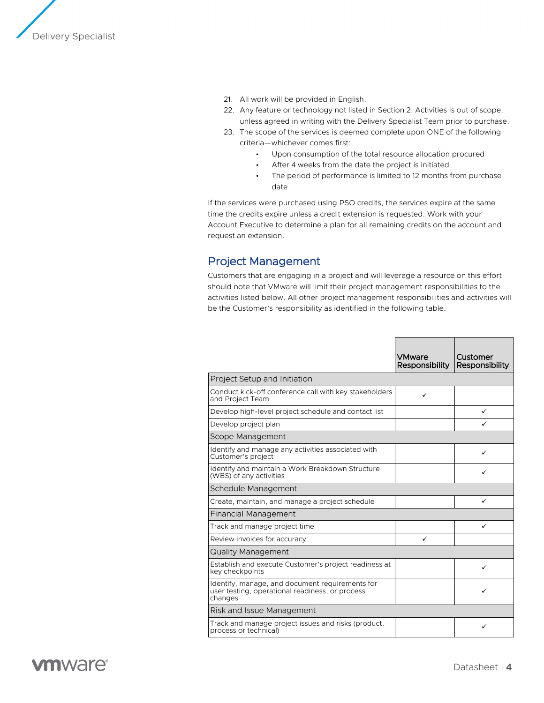

- 21. All work will be provided in English.
- 22. Any feature or technology not listed in Section 2. Activities is out of scope, unless agreed in writing with the Delivery Specialist Team prior to purchase.
- 23. The scope of the services is deemed complete upon ONE of the following criteria—whichever comes first:
	- Upon consumption of the total resource allocation procured
	- After 4 weeks from the date the project is initiated
	- The period of performance is limited to 12 months from purchase date

If the services were purchased using PSO credits, the services expire at the same time the credits expire unless a credit extension is requested. Work with your Account Executive to determine a plan for all remaining credits on the account and request an extension.

### Project Management

Customers that are engaging in a project and will leverage a resource on this effort should note that VMware will limit their project management responsibilities to the activities listed below. All other project management responsibilities and activities will be the Customer's responsibility as identified in the following table.

|                                                                                                               | VMware<br><b>Responsibility</b> | Customer<br>Responsibility |  |
|---------------------------------------------------------------------------------------------------------------|---------------------------------|----------------------------|--|
| Project Setup and Initiation                                                                                  |                                 |                            |  |
| Conduct kick-off conference call with key stakeholders<br>and Project Team                                    | ✓                               |                            |  |
| Develop high-level project schedule and contact list                                                          |                                 | ✓                          |  |
| Develop project plan                                                                                          |                                 | ✓                          |  |
| Scope Management                                                                                              |                                 |                            |  |
| Identify and manage any activities associated with<br>Customer's project                                      |                                 |                            |  |
| Identify and maintain a Work Breakdown Structure<br>(WBS) of any activities                                   |                                 | ✓                          |  |
| Schedule Management                                                                                           |                                 |                            |  |
| Create, maintain, and manage a project schedule                                                               |                                 | ✓                          |  |
| Financial Management                                                                                          |                                 |                            |  |
| Track and manage project time                                                                                 |                                 | ✓                          |  |
| Review invoices for accuracy                                                                                  | ✓                               |                            |  |
| <b>Quality Management</b>                                                                                     |                                 |                            |  |
| Establish and execute Customer's project readiness at<br>key checkpoints                                      |                                 | ✓                          |  |
| Identify, manage, and document requirements for<br>user testing, operational readiness, or process<br>changes |                                 |                            |  |
| Risk and Issue Management                                                                                     |                                 |                            |  |
| Track and manage project issues and risks (product,<br>process or technical)                                  |                                 | ✓                          |  |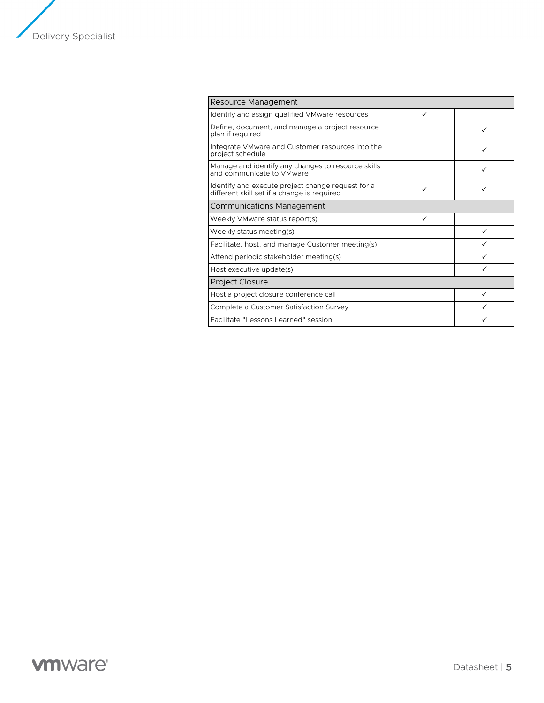

| Resource Management                                                                              |   |   |
|--------------------------------------------------------------------------------------------------|---|---|
| Identify and assign qualified VMware resources                                                   | ✓ |   |
| Define, document, and manage a project resource<br>plan if required                              |   | ✓ |
| Integrate VM ware and Customer resources into the<br>project schedule                            |   |   |
| Manage and identify any changes to resource skills<br>and communicate to VMware                  |   |   |
| Identify and execute project change request for a<br>different skill set if a change is required | ✓ | ✓ |
| <b>Communications Management</b>                                                                 |   |   |
| Weekly VMware status report(s)                                                                   |   |   |
| Weekly status meeting(s)                                                                         |   |   |
| Facilitate, host, and manage Customer meeting(s)                                                 |   |   |
| Attend periodic stakeholder meeting(s)                                                           |   |   |
| Host executive update(s)                                                                         |   |   |
| <b>Project Closure</b>                                                                           |   |   |
| Host a project closure conference call                                                           |   |   |
| Complete a Customer Satisfaction Survey                                                          |   |   |
| Facilitate "Lessons Learned" session                                                             |   |   |

# **vmware**<sup>®</sup>